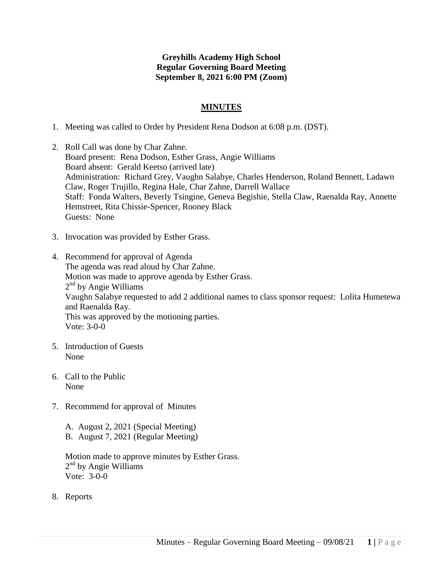# **Greyhills Academy High School Regular Governing Board Meeting September 8, 2021 6:00 PM (Zoom)**

## **MINUTES**

- 1. Meeting was called to Order by President Rena Dodson at 6:08 p.m. (DST).
- 2. Roll Call was done by Char Zahne. Board present: Rena Dodson, Esther Grass, Angie Williams Board absent: Gerald Keetso (arrived late) Administration: Richard Grey, Vaughn Salabye, Charles Henderson, Roland Bennett, Ladawn Claw, Roger Trujillo, Regina Hale, Char Zahne, Darrell Wallace Staff: Fonda Walters, Beverly Tsingine, Geneva Begishie, Stella Claw, Raenalda Ray, Annette Hemstreet, Rita Chissie-Spencer, Rooney Black Guests: None
- 3. Invocation was provided by Esther Grass.
- 4. Recommend for approval of Agenda The agenda was read aloud by Char Zahne. Motion was made to approve agenda by Esther Grass. 2<sup>nd</sup> by Angie Williams Vaughn Salabye requested to add 2 additional names to class sponsor request: Lolita Humetewa and Raenalda Ray. This was approved by the motioning parties. Vote: 3-0-0
- 5. Introduction of Guests None
- 6. Call to the Public None
- 7. Recommend for approval of Minutes
	- A. August 2, 2021 (Special Meeting) B. August 7, 2021 (Regular Meeting)

Motion made to approve minutes by Esther Grass. 2<sup>nd</sup> by Angie Williams Vote: 3-0-0

8. Reports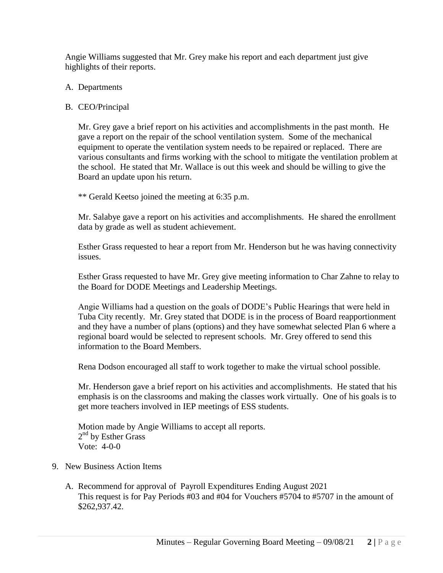Angie Williams suggested that Mr. Grey make his report and each department just give highlights of their reports.

## A. Departments

# B. CEO/Principal

Mr. Grey gave a brief report on his activities and accomplishments in the past month. He gave a report on the repair of the school ventilation system. Some of the mechanical equipment to operate the ventilation system needs to be repaired or replaced. There are various consultants and firms working with the school to mitigate the ventilation problem at the school. He stated that Mr. Wallace is out this week and should be willing to give the Board an update upon his return.

\*\* Gerald Keetso joined the meeting at 6:35 p.m.

Mr. Salabye gave a report on his activities and accomplishments. He shared the enrollment data by grade as well as student achievement.

Esther Grass requested to hear a report from Mr. Henderson but he was having connectivity issues.

Esther Grass requested to have Mr. Grey give meeting information to Char Zahne to relay to the Board for DODE Meetings and Leadership Meetings.

Angie Williams had a question on the goals of DODE's Public Hearings that were held in Tuba City recently. Mr. Grey stated that DODE is in the process of Board reapportionment and they have a number of plans (options) and they have somewhat selected Plan 6 where a regional board would be selected to represent schools. Mr. Grey offered to send this information to the Board Members.

Rena Dodson encouraged all staff to work together to make the virtual school possible.

Mr. Henderson gave a brief report on his activities and accomplishments. He stated that his emphasis is on the classrooms and making the classes work virtually. One of his goals is to get more teachers involved in IEP meetings of ESS students.

Motion made by Angie Williams to accept all reports. 2<sup>nd</sup> by Esther Grass Vote: 4-0-0

#### 9. New Business Action Items

A. Recommend for approval of Payroll Expenditures Ending August 2021 This request is for Pay Periods #03 and #04 for Vouchers #5704 to #5707 in the amount of \$262,937.42.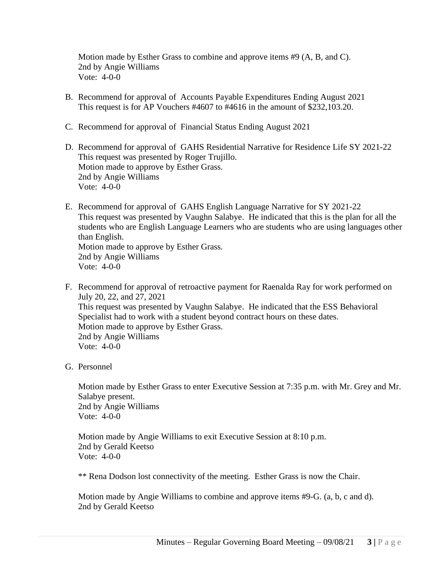Motion made by Esther Grass to combine and approve items #9 (A, B, and C). 2nd by Angie Williams Vote: 4-0-0

- B. Recommend for approval of Accounts Payable Expenditures Ending August 2021 This request is for AP Vouchers #4607 to #4616 in the amount of \$232,103.20.
- C. Recommend for approval of Financial Status Ending August 2021
- D. Recommend for approval of GAHS Residential Narrative for Residence Life SY 2021-22 This request was presented by Roger Trujillo. Motion made to approve by Esther Grass. 2nd by Angie Williams Vote: 4-0-0
- E. Recommend for approval of GAHS English Language Narrative for SY 2021-22 This request was presented by Vaughn Salabye. He indicated that this is the plan for all the students who are English Language Learners who are students who are using languages other than English. Motion made to approve by Esther Grass. 2nd by Angie Williams Vote: 4-0-0
- F. Recommend for approval of retroactive payment for Raenalda Ray for work performed on July 20, 22, and 27, 2021 This request was presented by Vaughn Salabye. He indicated that the ESS Behavioral Specialist had to work with a student beyond contract hours on these dates. Motion made to approve by Esther Grass. 2nd by Angie Williams Vote: 4-0-0
- G. Personnel

Motion made by Esther Grass to enter Executive Session at 7:35 p.m. with Mr. Grey and Mr. Salabye present. 2nd by Angie Williams Vote: 4-0-0

Motion made by Angie Williams to exit Executive Session at 8:10 p.m. 2nd by Gerald Keetso Vote: 4-0-0

\*\* Rena Dodson lost connectivity of the meeting. Esther Grass is now the Chair.

Motion made by Angie Williams to combine and approve items #9-G. (a, b, c and d). 2nd by Gerald Keetso